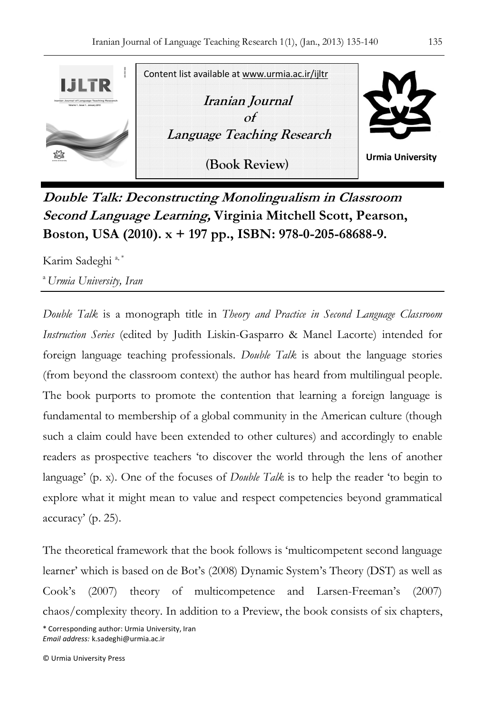

**Double Talk: Deconstructing Monolingualism in Classroom Second Language Learning, Virginia Mitchell Scott, Pearson, Boston, USA (2010). x + 197 pp., ISBN: 978-0-205-68688-9.** 

Karim Sadeghi<sup>a,\*</sup>

<sup>a</sup>*Urmia University, Iran*

*Double Talk* is a monograph title in *Theory and Practice in Second Language Classroom Instruction Series* (edited by Judith Liskin-Gasparro & Manel Lacorte) intended for foreign language teaching professionals. *Double Talk* is about the language stories (from beyond the classroom context) the author has heard from multilingual people. The book purports to promote the contention that learning a foreign language is fundamental to membership of a global community in the American culture (though such a claim could have been extended to other cultures) and accordingly to enable readers as prospective teachers 'to discover the world through the lens of another language' (p. x). One of the focuses of *Double Talk* is to help the reader 'to begin to explore what it might mean to value and respect competencies beyond grammatical accuracy' (p. 25).

The theoretical framework that the book follows is 'multicompetent second language learner' which is based on de Bot's (2008) Dynamic System's Theory (DST) as well as Cook's (2007) theory of multicompetence and Larsen-Freeman's (2007) chaos/complexity theory. In addition to a Preview, the book consists of six chapters,

\* Corresponding author: Urmia University, Iran *Email address:* k.sadeghi@urmia.ac.ir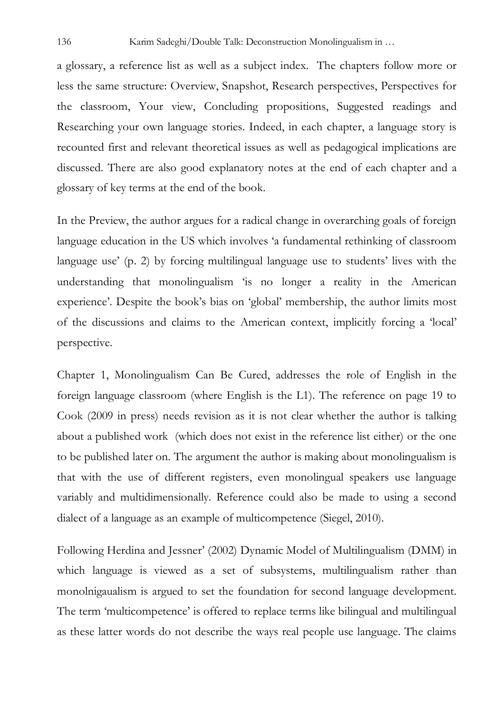a glossary, a reference list as well as a subject index. The chapters follow more or less the same structure: Overview, Snapshot, Research perspectives, Perspectives for the classroom, Your view, Concluding propositions, Suggested readings and Researching your own language stories. Indeed, in each chapter, a language story is recounted first and relevant theoretical issues as well as pedagogical implications are discussed. There are also good explanatory notes at the end of each chapter and a glossary of key terms at the end of the book.

In the Preview, the author argues for a radical change in overarching goals of foreign language education in the US which involves 'a fundamental rethinking of classroom language use' (p. 2) by forcing multilingual language use to students' lives with the understanding that monolingualism 'is no longer a reality in the American experience'. Despite the book's bias on 'global' membership, the author limits most of the discussions and claims to the American context, implicitly forcing a 'local' perspective.

Chapter 1, Monolingualism Can Be Cured, addresses the role of English in the foreign language classroom (where English is the L1). The reference on page 19 to Cook (2009 in press) needs revision as it is not clear whether the author is talking about a published work (which does not exist in the reference list either) or the one to be published later on. The argument the author is making about monolingualism is that with the use of different registers, even monolingual speakers use language variably and multidimensionally. Reference could also be made to using a second dialect of a language as an example of multicompetence (Siegel, 2010).

Following Herdina and Jessner' (2002) Dynamic Model of Multilingualism (DMM) in which language is viewed as a set of subsystems, multilingualism rather than monolnigaualism is argued to set the foundation for second language development. The term 'multicompetence' is offered to replace terms like bilingual and multilingual as these latter words do not describe the ways real people use language. The claims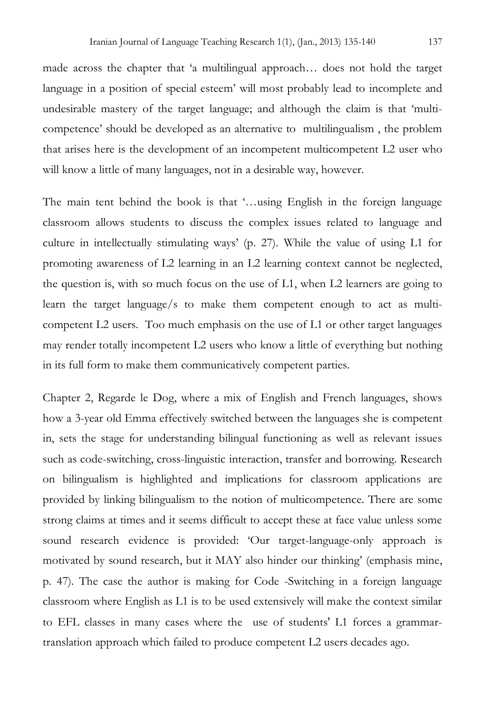made across the chapter that 'a multilingual approach… does not hold the target language in a position of special esteem' will most probably lead to incomplete and undesirable mastery of the target language; and although the claim is that 'multicompetence' should be developed as an alternative to multilingualism , the problem that arises here is the development of an incompetent multicompetent L2 user who will know a little of many languages, not in a desirable way, however.

The main tent behind the book is that '…using English in the foreign language classroom allows students to discuss the complex issues related to language and culture in intellectually stimulating ways' (p. 27). While the value of using L1 for promoting awareness of L2 learning in an L2 learning context cannot be neglected, the question is, with so much focus on the use of L1, when L2 learners are going to learn the target language/s to make them competent enough to act as multicompetent L2 users. Too much emphasis on the use of L1 or other target languages may render totally incompetent L2 users who know a little of everything but nothing in its full form to make them communicatively competent parties.

Chapter 2, Regarde le Dog, where a mix of English and French languages, shows how a 3-year old Emma effectively switched between the languages she is competent in, sets the stage for understanding bilingual functioning as well as relevant issues such as code-switching, cross-linguistic interaction, transfer and borrowing. Research on bilingualism is highlighted and implications for classroom applications are provided by linking bilingualism to the notion of multicompetence. There are some strong claims at times and it seems difficult to accept these at face value unless some sound research evidence is provided: 'Our target-language-only approach is motivated by sound research, but it MAY also hinder our thinking' (emphasis mine, p. 47). The case the author is making for Code -Switching in a foreign language classroom where English as L1 is to be used extensively will make the context similar to EFL classes in many cases where the use of students' L1 forces a grammartranslation approach which failed to produce competent L2 users decades ago.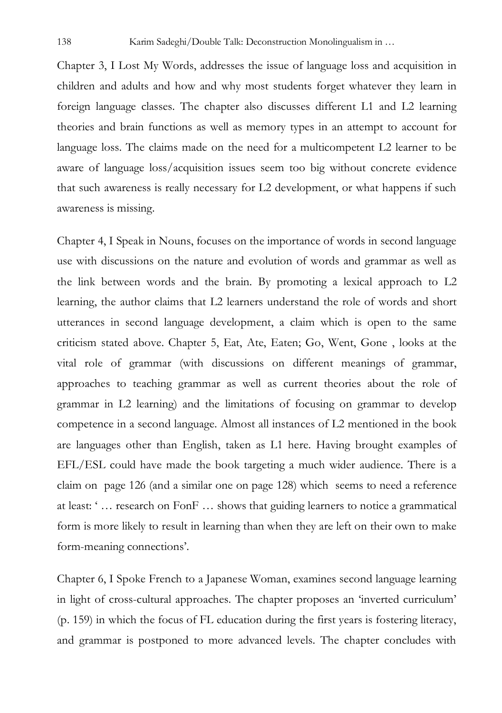Chapter 3, I Lost My Words, addresses the issue of language loss and acquisition in children and adults and how and why most students forget whatever they learn in foreign language classes. The chapter also discusses different L1 and L2 learning theories and brain functions as well as memory types in an attempt to account for language loss. The claims made on the need for a multicompetent L2 learner to be aware of language loss/acquisition issues seem too big without concrete evidence that such awareness is really necessary for L2 development, or what happens if such awareness is missing.

Chapter 4, I Speak in Nouns, focuses on the importance of words in second language use with discussions on the nature and evolution of words and grammar as well as the link between words and the brain. By promoting a lexical approach to L2 learning, the author claims that L2 learners understand the role of words and short utterances in second language development, a claim which is open to the same criticism stated above. Chapter 5, Eat, Ate, Eaten; Go, Went, Gone , looks at the vital role of grammar (with discussions on different meanings of grammar, approaches to teaching grammar as well as current theories about the role of grammar in L2 learning) and the limitations of focusing on grammar to develop competence in a second language. Almost all instances of L2 mentioned in the book are languages other than English, taken as L1 here. Having brought examples of EFL/ESL could have made the book targeting a much wider audience. There is a claim on page 126 (and a similar one on page 128) which seems to need a reference at least: ' … research on FonF … shows that guiding learners to notice a grammatical form is more likely to result in learning than when they are left on their own to make form-meaning connections'.

Chapter 6, I Spoke French to a Japanese Woman, examines second language learning in light of cross-cultural approaches. The chapter proposes an 'inverted curriculum' (p. 159) in which the focus of FL education during the first years is fostering literacy, and grammar is postponed to more advanced levels. The chapter concludes with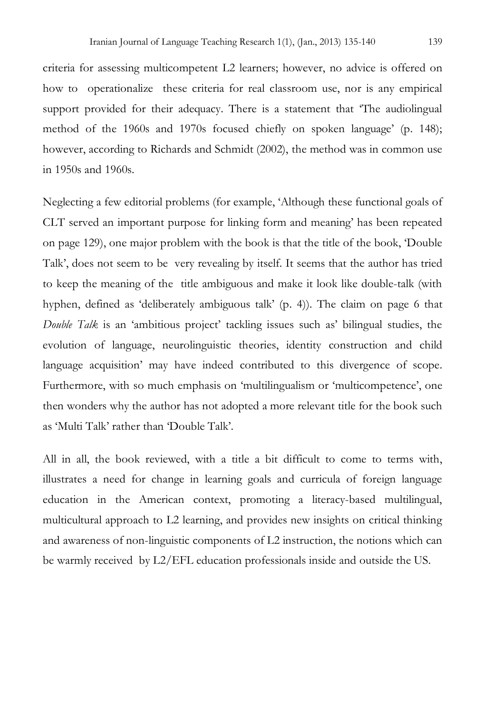criteria for assessing multicompetent L2 learners; however, no advice is offered on how to operationalize these criteria for real classroom use, nor is any empirical support provided for their adequacy. There is a statement that 'The audiolingual method of the 1960s and 1970s focused chiefly on spoken language' (p. 148); however, according to Richards and Schmidt (2002), the method was in common use in 1950s and 1960s.

Neglecting a few editorial problems (for example, 'Although these functional goals of CLT served an important purpose for linking form and meaning' has been repeated on page 129), one major problem with the book is that the title of the book, 'Double Talk', does not seem to be very revealing by itself. It seems that the author has tried to keep the meaning of the title ambiguous and make it look like double-talk (with hyphen, defined as 'deliberately ambiguous talk' (p. 4)). The claim on page 6 that *Double Talk* is an 'ambitious project' tackling issues such as' bilingual studies, the evolution of language, neurolinguistic theories, identity construction and child language acquisition' may have indeed contributed to this divergence of scope. Furthermore, with so much emphasis on 'multilingualism or 'multicompetence', one then wonders why the author has not adopted a more relevant title for the book such as 'Multi Talk' rather than 'Double Talk'.

All in all, the book reviewed, with a title a bit difficult to come to terms with, illustrates a need for change in learning goals and curricula of foreign language education in the American context, promoting a literacy-based multilingual, multicultural approach to L2 learning, and provides new insights on critical thinking and awareness of non-linguistic components of L2 instruction, the notions which can be warmly received by L2/EFL education professionals inside and outside the US.